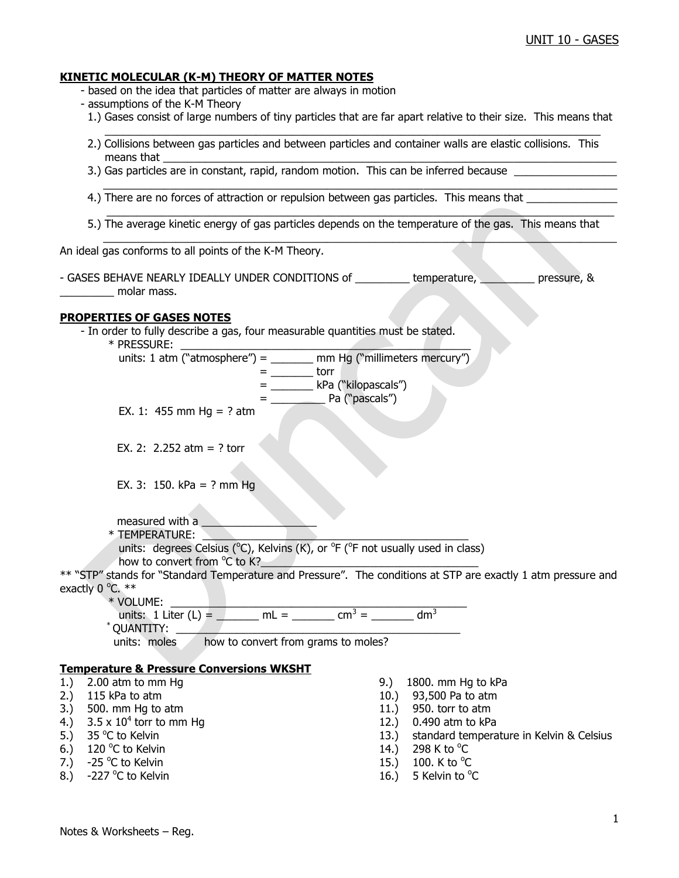#### **KINETIC MOLECULAR (K-M) THEORY OF MATTER NOTES**

- based on the idea that particles of matter are always in motion

- assumptions of the K-M Theory
- 1.) Gases consist of large numbers of tiny particles that are far apart relative to their size. This means that
- $\mathcal{L}_\mathcal{L} = \mathcal{L}_\mathcal{L} = \mathcal{L}_\mathcal{L} = \mathcal{L}_\mathcal{L} = \mathcal{L}_\mathcal{L} = \mathcal{L}_\mathcal{L} = \mathcal{L}_\mathcal{L} = \mathcal{L}_\mathcal{L} = \mathcal{L}_\mathcal{L} = \mathcal{L}_\mathcal{L} = \mathcal{L}_\mathcal{L} = \mathcal{L}_\mathcal{L} = \mathcal{L}_\mathcal{L} = \mathcal{L}_\mathcal{L} = \mathcal{L}_\mathcal{L} = \mathcal{L}_\mathcal{L} = \mathcal{L}_\mathcal{L}$  2.) Collisions between gas particles and between particles and container walls are elastic collisions. This means that  $\_\_$ 
	- 3.) Gas particles are in constant, rapid, random motion. This can be inferred because \_
	- 4.) There are no forces of attraction or repulsion between gas particles. This means that
- 5.) The average kinetic energy of gas particles depends on the temperature of the gas. This means that \_\_\_\_\_\_\_\_\_\_\_\_\_\_\_\_\_\_\_\_\_\_\_\_\_\_\_\_\_\_\_\_\_\_\_\_\_\_\_\_\_\_\_\_\_\_\_\_\_\_\_\_\_\_\_\_\_\_\_\_\_\_\_\_\_\_\_\_\_\_\_\_\_\_\_\_\_\_\_\_\_\_\_\_\_

 $\_$  , and the set of the set of the set of the set of the set of the set of the set of the set of the set of the set of the set of the set of the set of the set of the set of the set of the set of the set of the set of th

\_\_\_\_\_\_\_\_\_\_\_\_\_\_\_\_\_\_\_\_\_\_\_\_\_\_\_\_\_\_\_\_\_\_\_\_\_\_\_\_\_\_\_\_\_\_\_\_\_\_\_\_\_\_\_\_\_\_\_\_\_\_\_\_\_\_\_\_\_\_\_\_\_\_\_\_\_\_\_\_\_\_\_\_

An ideal gas conforms to all points of the K-M Theory.

- GASES BEHAVE NEARLY IDEALLY UNDER CONDITIONS of \_\_\_\_\_\_\_\_\_ temperature, \_\_\_\_\_\_\_\_\_ pressure, & molar mass.

#### **PROPERTIES OF GASES NOTES**

- In order to fully describe a gas, four measurable quantities must be stated.

 $*$  PRESSURE:

| units: 1 atm ("atmosphere") = | mm Hg ("millimeters mercury") |
|-------------------------------|-------------------------------|
|                               | $+2.22$                       |

- $=$  torr = \_\_\_\_\_\_\_ kPa ("kilopascals")
	- = \_\_\_\_\_\_\_\_\_ Pa ("pascals")
- EX. 1: 455 mm Hg = ? atm

EX. 2: 2.252 atm = ? torr

- EX. 3: 150. kPa = ? mm Hg
- measured with a
- \* TEMPERATURE: \_\_\_\_\_\_\_\_\_\_\_\_\_\_\_\_\_\_\_\_\_\_\_\_\_\_\_\_\_\_\_\_\_\_\_\_\_\_\_\_\_\_\_\_ units: degrees Celsius ( $^{\circ}$ C), Kelvins (K), or  $^{\circ}$ F ( $^{\circ}$ F not usually used in class) how to convert from °C to K?

\*\* "STP" stands for "Standard Temperature and Pressure". The conditions at STP are exactly 1 atm pressure and exactly  $0^{\circ}$ C.  $**$ 

\* VOLUME: \_\_\_\_\_\_\_\_\_\_\_\_\_\_\_\_\_\_\_\_\_\_\_\_\_\_\_\_\_\_\_\_\_\_\_\_\_\_\_\_\_\_\_\_\_\_\_\_\_

units: 1 Liter (L) = \_\_\_\_\_\_ mL = \_\_\_\_\_\_ cm<sup>3</sup> = \_\_\_\_\_\_ dm<sup>3</sup>

 $\restriction$  QUANTITY:

units: moles how to convert from grams to moles?

### **Temperature & Pressure Conversions WKSHT**

- 
- 
- $3.$  500. mm Hg to atm  $11.$  950. torr to atm
- 4.)  $3.5 \times 10^4$  torr to mm Hq
- 5.)  $35^{\circ}$ C to Kelvin
- 6.) 120 °C to Kelvin  $14.$ ) 298 K to  $^{\circ}$
- 7.)  $-25$  °C to Kelvin
- 8.)  $-227$  °C to Kelvin
- 1.) 2.00 atm to mm Hg 9. atm to mm Hg 5.00 atm to kPa
- 2.) 115 kPa to atm 10.) 93,500 Pa to atm
	-
	- 12.) 0.490 atm to kPa
	- 13.) standard temperature in Kelvin & Celsius
	- 298 K to  $^{\circ}$ C
	- C to Kelvin  $15.$ )  $100.$  K to  $^{\circ}$ C
	- C to Kelvin  $\sim$  2008  $\sim$  16.) 5 Kelvin to  $\rm ^oC$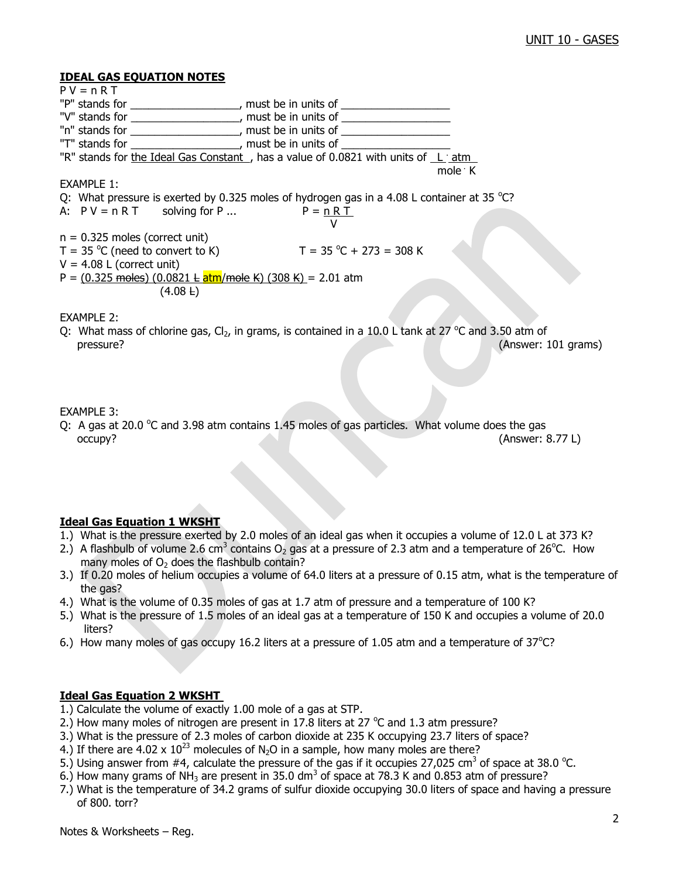#### **IDEAL GAS EQUATION NOTES**

 $P V = n R T$ "P" stands for \_\_\_\_\_\_\_\_\_\_\_\_\_\_\_\_\_, must be in units of \_\_\_\_\_\_\_\_\_\_\_\_\_\_\_\_\_\_\_\_\_\_\_\_\_\_ "V" stands for \_\_\_\_\_\_\_\_\_\_\_\_\_\_\_\_\_, must be in units of \_\_\_\_\_\_\_\_\_\_\_\_\_\_\_\_\_\_\_\_\_\_\_\_\_\_ "n" stands for \_\_\_\_\_\_\_\_\_\_\_\_\_\_\_\_\_\_, must be in units of \_\_\_\_\_\_\_\_\_\_\_\_\_\_\_\_\_\_ "T" stands for \_\_\_\_\_\_\_\_\_\_\_\_\_\_\_\_\_\_, must be in units of \_\_\_\_\_\_\_\_\_\_\_\_\_\_\_\_\_\_\_\_\_\_\_\_\_ "R" stands for the Ideal Gas Constant, has a value of 0.0821 with units of Ligatm mole . The state of the state of the state of the state of the state of the state of the state of the state of the state of the state of the state of the state of the state of the state of the state of the state of the sta mole  $\cdot$  K EXAMPLE 1: Q: What pressure is exerted by 0.325 moles of hydrogen gas in a 4.08 L container at 35  $^{\circ}$ C? A:  $PV = n RT$  solving for P ...  $P = n RT$  V  $n = 0.325$  moles (correct unit)  $T = 35 \degree C$  (need to convert to K)  $T = 35 \degree C$  $T = 35 °C + 273 = 308 K$  $V = 4.08$  L (correct unit) P =  $(0.325 \text{ moles}) (0.0821 \text{ L} \text{atm/mole K}) (308 \text{ K}) = 2.01 \text{ atm}$  $(4.08 \text{ L})$ EXAMPLE 2: Q: What mass of chlorine gas,  $Cl_2$ , in grams, is contained in a 10.0 L tank at 27  $^{\circ}$ C and 3.50 atm of pressure? (Answer: 101 grams)

#### EXAMPLE 3:

Q: A gas at 20.0  $\degree$ C and 3.98 atm contains 1.45 moles of gas particles. What volume does the gas occupy? (Answer: 8.77 L)

### **Ideal Gas Equation 1 WKSHT**

- 1.) What is the pressure exerted by 2.0 moles of an ideal gas when it occupies a volume of 12.0 L at 373 K?
- 2.) A flashbulb of volume 2.6 cm<sup>3</sup> contains O<sub>2</sub> gas at a pressure of 2.3 atm and a temperature of 26<sup>o</sup>C. How many moles of  $O<sub>2</sub>$  does the flashbulb contain?
- 3.) If 0.20 moles of helium occupies a volume of 64.0 liters at a pressure of 0.15 atm, what is the temperature of the gas?
- 4.) What is the volume of 0.35 moles of gas at 1.7 atm of pressure and a temperature of 100 K?
- 5.) What is the pressure of 1.5 moles of an ideal gas at a temperature of 150 K and occupies a volume of 20.0 liters?
- 6.) How many moles of gas occupy 16.2 liters at a pressure of 1.05 atm and a temperature of  $37^{\circ}$ C?

## **Ideal Gas Equation 2 WKSHT**

- 1.) Calculate the volume of exactly 1.00 mole of a gas at STP.
- 2.) How many moles of nitrogen are present in 17.8 liters at 27  $^{\circ}$ C and 1.3 atm pressure?
- 3.) What is the pressure of 2.3 moles of carbon dioxide at 235 K occupying 23.7 liters of space?
- 4.) If there are 4.02 x  $10^{23}$  molecules of N<sub>2</sub>O in a sample, how many moles are there?
- 5.) Using answer from #4, calculate the pressure of the gas if it occupies 27,025 cm<sup>3</sup> of space at 38.0 °C.
- 6.) How many grams of NH<sub>3</sub> are present in 35.0 dm<sup>3</sup> of space at 78.3 K and 0.853 atm of pressure?
- 7.) What is the temperature of 34.2 grams of sulfur dioxide occupying 30.0 liters of space and having a pressure of 800. torr?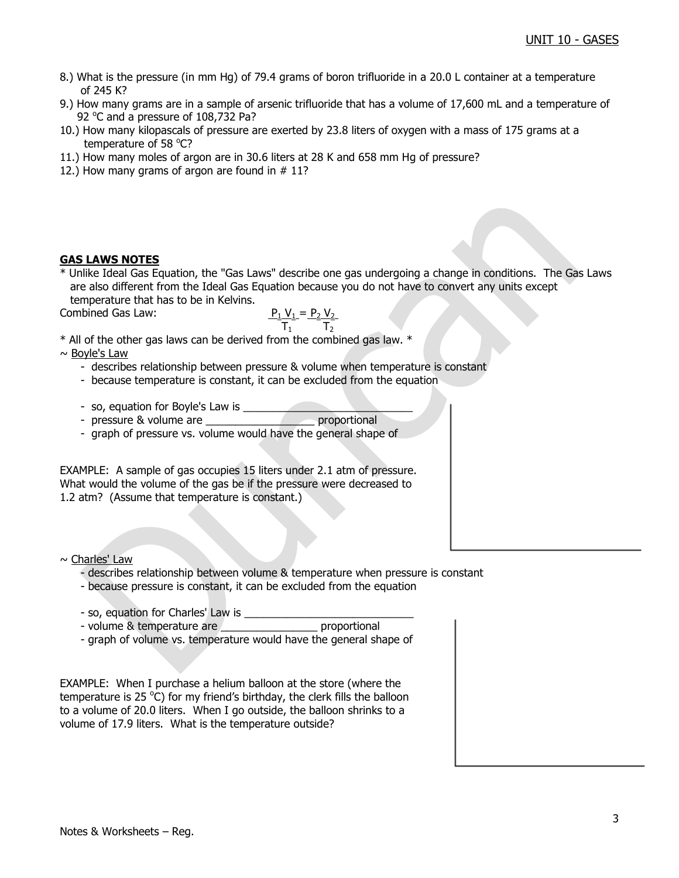- 8.) What is the pressure (in mm Hg) of 79.4 grams of boron trifluoride in a 20.0 L container at a temperature of 245 K?
- 9.) How many grams are in a sample of arsenic trifluoride that has a volume of 17,600 mL and a temperature of 92 °C and a pressure of 108,732 Pa?
- 10.) How many kilopascals of pressure are exerted by 23.8 liters of oxygen with a mass of 175 grams at a temperature of 58 °C?
- 11.) How many moles of argon are in 30.6 liters at 28 K and 658 mm Hg of pressure?
- 12.) How many grams of argon are found in  $# 11$ ?

### **GAS LAWS NOTES**

\* Unlike Ideal Gas Equation, the "Gas Laws" describe one gas undergoing a change in conditions. The Gas Laws are also different from the Ideal Gas Equation because you do not have to convert any units except temperature that has to be in Kelvins.

Combined Gas Law:

$$
P_1 V_1 = P_2 V_2
$$
\nCombined Gas Law:

\n
$$
\frac{P_1 V_1 = P_2 V_2}{T_1}
$$

\* All of the other gas laws can be derived from the combined gas law. \*

 $\sim$  Boyle's Law

- describes relationship between pressure & volume when temperature is constant
- because temperature is constant, it can be excluded from the equation
- so, equation for Boyle's Law is \_\_\_\_\_\_\_\_\_\_\_\_\_\_\_\_\_\_\_\_\_\_\_\_\_\_\_\_

- pressure & volume are \_\_\_\_\_\_\_\_\_\_\_\_\_\_\_\_\_\_ proportional

- graph of pressure vs. volume would have the general shape of

EXAMPLE: A sample of gas occupies 15 liters under 2.1 atm of pressure. What would the volume of the gas be if the pressure were decreased to 1.2 atm? (Assume that temperature is constant.)

 $\sim$  Charles' Law

- describes relationship between volume & temperature when pressure is constant
- because pressure is constant, it can be excluded from the equation
- 
- so, equation for Charles' Law is \_\_\_\_\_\_\_\_\_\_\_\_\_\_\_\_\_\_\_\_\_\_\_\_\_\_\_\_ - volume & temperature are
- graph of volume vs. temperature would have the general shape of

EXAMPLE: When I purchase a helium balloon at the store (where the temperature is 25  $\rm{^{\circ}C}$ ) for my friend's birthday, the clerk fills the balloon to a volume of 20.0 liters. When I go outside, the balloon shrinks to a volume of 17.9 liters. What is the temperature outside?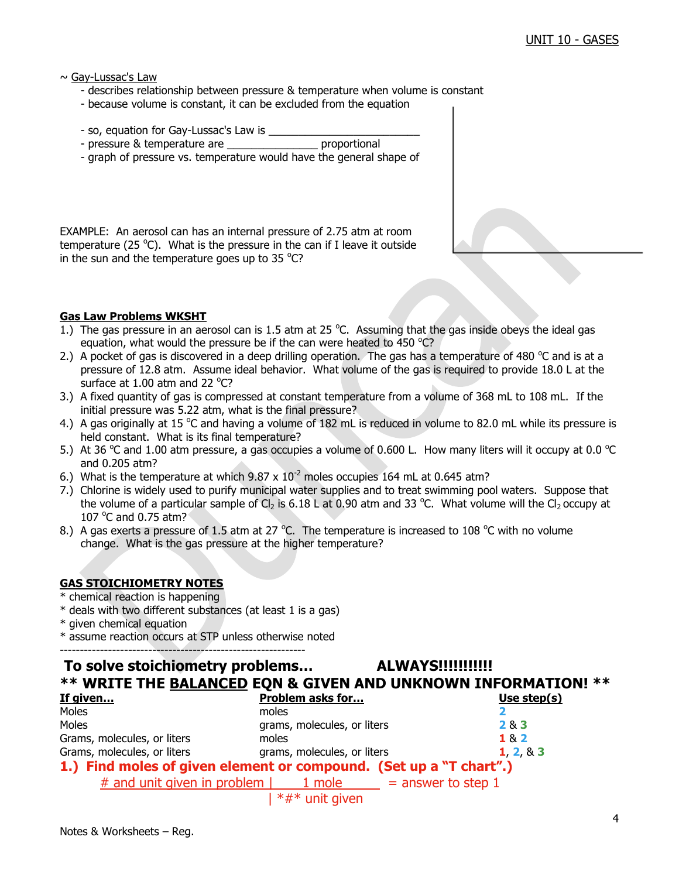$\sim$  Gay-Lussac's Law

- describes relationship between pressure & temperature when volume is constant
- because volume is constant, it can be excluded from the equation
- so, equation for Gay-Lussac's Law is
- pressure & temperature are example are proportional
- graph of pressure vs. temperature would have the general shape of

EXAMPLE: An aerosol can has an internal pressure of 2.75 atm at room temperature (25  $^{\circ}$ C). What is the pressure in the can if I leave it outside in the sun and the temperature goes up to 35  $^{\circ}$ C?

### **Gas Law Problems WKSHT**

- 1.) The gas pressure in an aerosol can is 1.5 atm at 25  $^{\circ}$ C. Assuming that the gas inside obeys the ideal gas equation, what would the pressure be if the can were heated to 450  $^{\circ}$ C?
- 2.) A pocket of gas is discovered in a deep drilling operation. The gas has a temperature of 480  $^{\circ}$ C and is at a pressure of 12.8 atm. Assume ideal behavior. What volume of the gas is required to provide 18.0 L at the surface at  $1.00$  atm and 22 °C?
- 3.) A fixed quantity of gas is compressed at constant temperature from a volume of 368 mL to 108 mL. If the initial pressure was 5.22 atm, what is the final pressure?
- 4.) A gas originally at 15 °C and having a volume of 182 mL is reduced in volume to 82.0 mL while its pressure is held constant. What is its final temperature?
- 5.) At 36 °C and 1.00 atm pressure, a gas occupies a volume of 0.600 L. How many liters will it occupy at 0.0 °C and 0.205 atm?
- 6.) What is the temperature at which  $9.87 \times 10^{-2}$  moles occupies 164 mL at 0.645 atm?
- 7.) Chlorine is widely used to purify municipal water supplies and to treat swimming pool waters. Suppose that the volume of a particular sample of Cl<sub>2</sub> is 6.18 L at 0.90 atm and 33 °C. What volume will the Cl<sub>2</sub> occupy at 107  $^{\circ}$ C and 0.75 atm?
- 8.) A gas exerts a pressure of 1.5 atm at 27  $^{\circ}$ C. The temperature is increased to 108  $^{\circ}$ C with no volume change. What is the gas pressure at the higher temperature?

## **GAS STOICHIOMETRY NOTES**

- \* chemical reaction is happening
- \* deals with two different substances (at least 1 is a gas)
- \* given chemical equation
- \* assume reaction occurs at STP unless otherwise noted

-------------------------------------------------------------

# **To solve stoichiometry problems… ALWAYS!!!!!!!!!!! \*\* WRITE THE BALANCED EQN & GIVEN AND UNKNOWN INFORMATION! \*\***

| If given                                                           | <b>Problem asks for</b>     | Use step(s) |
|--------------------------------------------------------------------|-----------------------------|-------------|
| Moles                                                              | moles                       |             |
| Moles                                                              | grams, molecules, or liters | 283         |
| Grams, molecules, or liters                                        | moles                       | 182         |
| Grams, molecules, or liters                                        | grams, molecules, or liters | 1, 2, 8, 3  |
| 1.) Find moles of given element or compound. (Set up a "T chart".) |                             |             |
| # and unit given in problem $\vert$ 1 mole = answer to step 1      |                             |             |
|                                                                    | $*#*$ unit given            |             |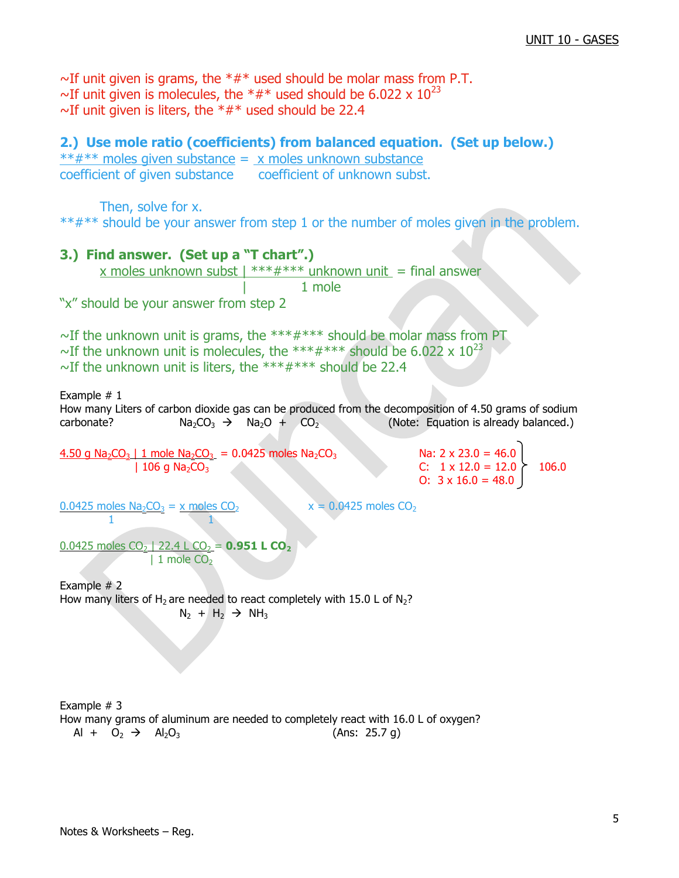$\sim$ If unit given is grams, the  $**$  used should be molar mass from P.T. ~If unit given is molecules, the  $*#*$  used should be 6.022 x  $10^{23}$  $\sim$ If unit given is liters, the \*#\* used should be 22.4

## **2.) Use mole ratio (coefficients) from balanced equation. (Set up below.)**

 $***$  moles given substance =  $\times$  moles unknown substance coefficient of given substance coefficient of unknown subst.

Then, solve for x. \*\*#\*\* should be your answer from step 1 or the number of moles given in the problem.

## **3.) Find answer. (Set up a "T chart".)**

x moles unknown subst  $\frac{1 + 1 + 1}{1 + 1 + 1}$  \*\*\* unknown unit = final answer

| 1 mole

"x" should be your answer from step 2

 $\sim$ If the unknown unit is grams, the \*\*\* $\#$ \*\*\* should be molar mass from PT ~If the unknown unit is molecules, the \*\*\*#\*\*\* should be 6.022 x  $10^{23}$  $\sim$ If the unknown unit is liters, the \*\*\*#\*\*\* should be 22.4

Example # 1 How many Liters of carbon dioxide gas can be produced from the decomposition of 4.50 grams of sodium carbonate?  $Na_2CO_3 \rightarrow Na_2O + CO_2$  (Note: Equation is already balanced.)

4.50 g Na<sub>2</sub>CO<sub>3</sub> | 1 mole Na<sub>2</sub>CO<sub>3</sub> = 0.0425 moles Na<sub>2</sub>CO<sub>3</sub> Na: 2 x 23.0 = 46.0  $\begin{array}{ccc} | & 106 \text{ q Na}_2\text{CO}_3 \end{array}$  C:  $1 \times 12.0 = 12.0 \begin{array}{ccc} | & 106.0 \end{array}$ 

O:  $3 \times 16.0 = 48.0$ 

 $0.0425$  moles Na<sub>2</sub>CO<sub>3</sub> = x moles CO<sub>2</sub> x = 0.0425 moles CO<sub>2</sub> 1 1

0.0425 moles CO<sub>2</sub> | 22.4 L CO<sub>2</sub> = **0.951 L CO<sub>2</sub>**  $| 1$  mole CO<sub>2</sub>

Example # 2 How many liters of H<sub>2</sub> are needed to react completely with 15.0 L of N<sub>2</sub>?  $N_2 + H_2 \rightarrow NH_3$ 

Example # 3 How many grams of aluminum are needed to completely react with 16.0 L of oxygen?  $Al + O_2 \rightarrow Al_2O_3$  (Ans: 25.7 g)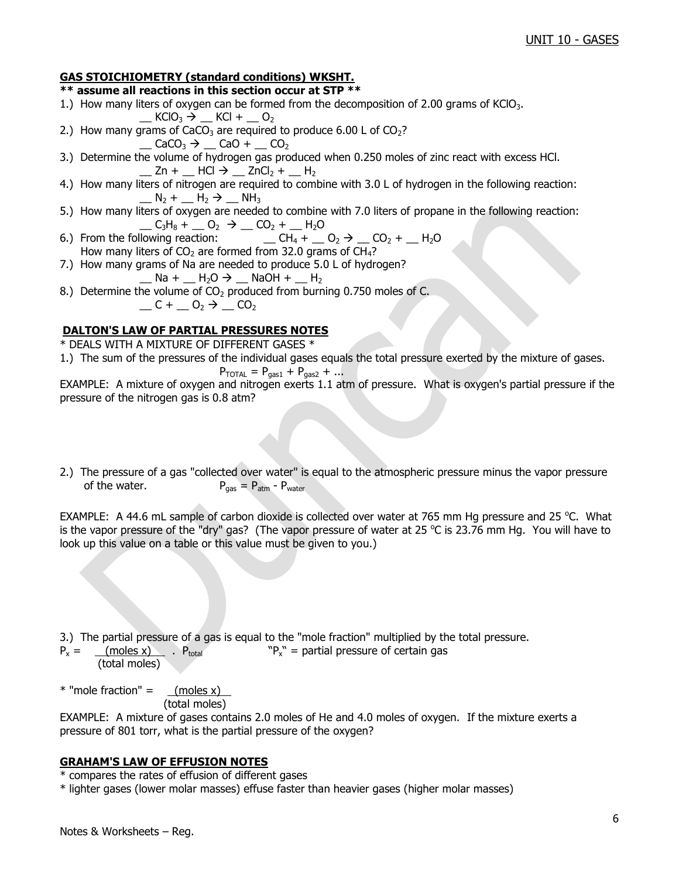## **GAS STOICHIOMETRY (standard conditions) WKSHT.**

#### **\*\* assume all reactions in this section occur at STP \*\***

- 1.) How many liters of oxygen can be formed from the decomposition of 2.00 grams of KClO<sub>3</sub>.
- $\_$  KClO<sub>3</sub>  $\rightarrow$   $\_$  KCl +  $\_$  O<sub>2</sub> 2.) How many grams of CaCO<sub>3</sub> are required to produce 6.00 L of CO<sub>2</sub>?
	- $\Box$  CaCO<sub>3</sub>  $\rightarrow$   $\Box$  CaO +  $\Box$  CO<sub>2</sub>
- 3.) Determine the volume of hydrogen gas produced when 0.250 moles of zinc react with excess HCl.  $\angle$  Zn +  $\angle$  HCl  $\rightarrow \angle$  ZnCl<sub>2</sub> +  $\angle$  H<sub>2</sub>
- 4.) How many liters of nitrogen are required to combine with 3.0 L of hydrogen in the following reaction:  $N_2 + N_2 \rightarrow NH_3$
- 5.) How many liters of oxygen are needed to combine with 7.0 liters of propane in the following reaction: \_\_ C3H<sup>8</sup> + \_\_ O<sup>2</sup> \_\_ CO<sup>2</sup> + \_\_ H2O
- $\Box$  CH<sub>4</sub> +  $\Box$  O<sub>2</sub>  $\rightarrow$   $\Box$  CO<sub>2</sub> +  $\Box$  H<sub>2</sub>O How many liters of  $CO<sub>2</sub>$  are formed from 32.0 grams of CH<sub>4</sub>?
- 7.) How many grams of Na are needed to produce 5.0 L of hydrogen?  $\_$  Na +  $\_$  H<sub>2</sub>O  $\rightarrow$   $\_$  NaOH +  $\_$  H<sub>2</sub>
- 8.) Determine the volume of  $CO<sub>2</sub>$  produced from burning 0.750 moles of C.  $C + C_2 \rightarrow C_2$

## **DALTON'S LAW OF PARTIAL PRESSURES NOTES**

\* DEALS WITH A MIXTURE OF DIFFERENT GASES \*

1.) The sum of the pressures of the individual gases equals the total pressure exerted by the mixture of gases.

$$
P_{\text{TOTAL}} = P_{\text{gas1}} + P_{\text{gas2}} + \dots
$$

EXAMPLE: A mixture of oxygen and nitrogen exerts 1.1 atm of pressure. What is oxygen's partial pressure if the pressure of the nitrogen gas is 0.8 atm?

2.) The pressure of a gas "collected over water" is equal to the atmospheric pressure minus the vapor pressure of the water.  $P_{\text{gas}} = P_{\text{atm}} - P_{\text{water}}$ 

EXAMPLE: A 44.6 mL sample of carbon dioxide is collected over water at 765 mm Hg pressure and 25 °C. What is the vapor pressure of the "dry" gas? (The vapor pressure of water at 25 °C is 23.76 mm Hg. You will have to look up this value on a table or this value must be given to you.)

3.) The partial pressure of a gas is equal to the "mole fraction" multiplied by the total pressure.

 $P_x =$  (moles x) .  $P_{total}$  $P_x''$  = partial pressure of certain gas (total moles)

 $*$  "mole fraction" =  $(moles x)$ (total moles)

EXAMPLE: A mixture of gases contains 2.0 moles of He and 4.0 moles of oxygen. If the mixture exerts a pressure of 801 torr, what is the partial pressure of the oxygen?

### **GRAHAM'S LAW OF EFFUSION NOTES**

\* compares the rates of effusion of different gases

\* lighter gases (lower molar masses) effuse faster than heavier gases (higher molar masses)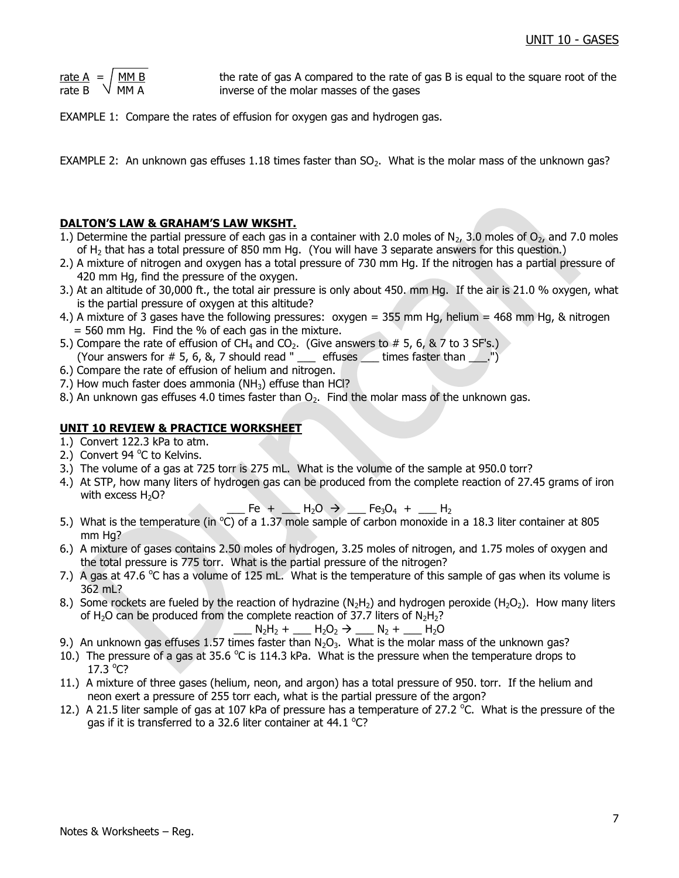| rate A | MM B |
|--------|------|
| rate B | MM A |

the rate of gas A compared to the rate of gas B is equal to the square root of the inverse of the molar masses of the gases

EXAMPLE 1: Compare the rates of effusion for oxygen gas and hydrogen gas.

EXAMPLE 2: An unknown gas effuses 1.18 times faster than  $SO<sub>2</sub>$ . What is the molar mass of the unknown gas?

## **DALTON'S LAW & GRAHAM'S LAW WKSHT.**

- 1.) Determine the partial pressure of each gas in a container with 2.0 moles of  $N_{2}$ , 3.0 moles of  $O_{2}$ , and 7.0 moles of H<sub>2</sub> that has a total pressure of 850 mm Hg. (You will have 3 separate answers for this question.)
- 2.) A mixture of nitrogen and oxygen has a total pressure of 730 mm Hg. If the nitrogen has a partial pressure of 420 mm Hg, find the pressure of the oxygen.
- 3.) At an altitude of 30,000 ft., the total air pressure is only about 450. mm Hg. If the air is 21.0 % oxygen, what is the partial pressure of oxygen at this altitude?
- 4.) A mixture of 3 gases have the following pressures: oxygen = 355 mm Hg, helium = 468 mm Hg, & nitrogen  $= 560$  mm Hg. Find the % of each gas in the mixture.
- 5.) Compare the rate of effusion of CH<sub>4</sub> and CO<sub>2</sub>. (Give answers to # 5, 6, & 7 to 3 SF's.) (Your answers for  $\#$  5, 6, 8, 7 should read " \_\_\_ effuses  $\angle$  times faster than  $\angle$ .")
- 6.) Compare the rate of effusion of helium and nitrogen.
- 7.) How much faster does ammonia ( $NH<sub>3</sub>$ ) effuse than HCl?
- 8.) An unknown gas effuses 4.0 times faster than  $O<sub>2</sub>$ . Find the molar mass of the unknown gas.

## **UNIT 10 REVIEW & PRACTICE WORKSHEET**

- 1.) Convert 122.3 kPa to atm.
- 2.) Convert 94 °C to Kelvins.
- 3.) The volume of a gas at 725 torr is 275 mL. What is the volume of the sample at 950.0 torr?
- 4.) At STP, how many liters of hydrogen gas can be produced from the complete reaction of 27.45 grams of iron with excess  $H_2O$ ?

 $-$  Fe +  $-$  H<sub>2</sub>O  $\rightarrow$   $-$  Fe<sub>3</sub>O<sub>4</sub> +  $-$  H<sub>2</sub>

- 5.) What is the temperature (in  $^{\circ}$ C) of a 1.37 mole sample of carbon monoxide in a 18.3 liter container at 805 mm Ha?
- 6.) A mixture of gases contains 2.50 moles of hydrogen, 3.25 moles of nitrogen, and 1.75 moles of oxygen and the total pressure is 775 torr. What is the partial pressure of the nitrogen?
- 7.) A gas at 47.6  $\degree$ C has a volume of 125 mL. What is the temperature of this sample of gas when its volume is 362 mL?
- 8.) Some rockets are fueled by the reaction of hydrazine (N<sub>2</sub>H<sub>2</sub>) and hydrogen peroxide (H<sub>2</sub>O<sub>2</sub>). How many liters of H<sub>2</sub>O can be produced from the complete reaction of 37.7 liters of  $N_2H_2$ ?

$$
N_2H_2 + M_2O_2 \rightarrow N_2 + M_2O
$$

- 9.) An unknown gas effuses 1.57 times faster than  $N_2O_3$ . What is the molar mass of the unknown gas?
- 10.) The pressure of a gas at 35.6  $\degree$ C is 114.3 kPa. What is the pressure when the temperature drops to  $17.3 °C?$
- 11.) A mixture of three gases (helium, neon, and argon) has a total pressure of 950. torr. If the helium and neon exert a pressure of 255 torr each, what is the partial pressure of the argon?
- 12.) A 21.5 liter sample of gas at 107 kPa of pressure has a temperature of 27.2 °C. What is the pressure of the gas if it is transferred to a 32.6 liter container at 44.1  $^{\circ}$ C?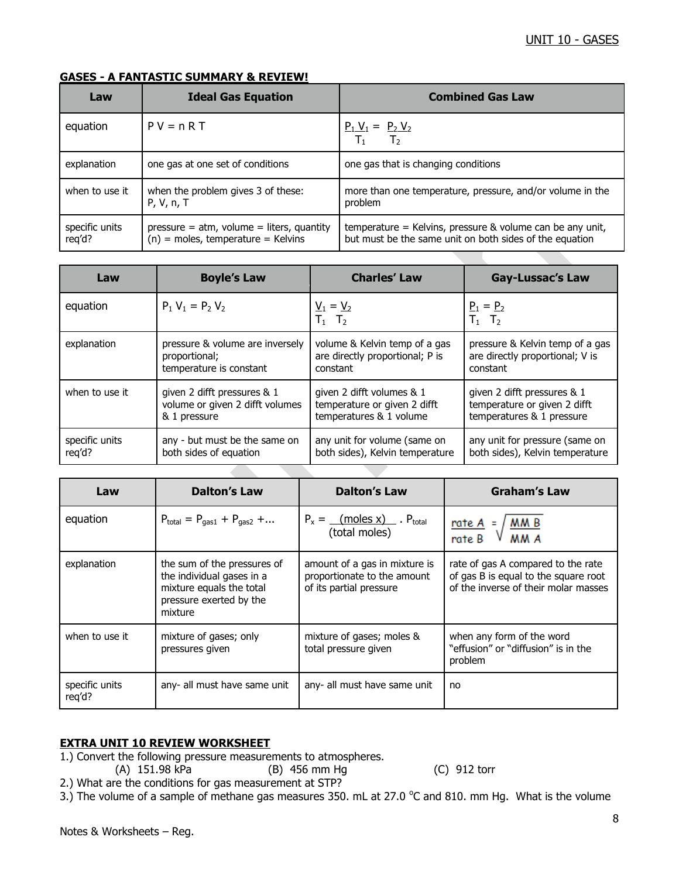## **GASES - A FANTASTIC SUMMARY & REVIEW!**

| Law                      | <b>Ideal Gas Equation</b>                                                            | <b>Combined Gas Law</b>                                                                                                |
|--------------------------|--------------------------------------------------------------------------------------|------------------------------------------------------------------------------------------------------------------------|
| equation                 | $PV = nRT$                                                                           | $P_1 V_1 = P_2 V_2$<br>$T_1$<br>T <sub>2</sub>                                                                         |
| explanation              | one gas at one set of conditions                                                     | one gas that is changing conditions                                                                                    |
| when to use it           | when the problem gives 3 of these:<br>P, V, n, T                                     | more than one temperature, pressure, and/or volume in the<br>problem                                                   |
| specific units<br>req'd? | $pressure = atm$ , volume = liters, quantity<br>$(n)$ = moles, temperature = Kelvins | temperature = Kelvins, pressure $&$ volume can be any unit,<br>but must be the same unit on both sides of the equation |

| Law            | <b>Boyle's Law</b>              | <b>Charles' Law</b>                                | <b>Gay-Lussac's Law</b>         |
|----------------|---------------------------------|----------------------------------------------------|---------------------------------|
| equation       | $P_1 V_1 = P_2 V_2$             | $\underline{V}_1 = \underline{V}_2$<br>$T_1$ $T_2$ | $P_1 = P_2$<br>$T_1$ $T_2$      |
| explanation    | pressure & volume are inversely | volume & Kelvin temp of a gas                      | pressure & Kelvin temp of a gas |
|                | proportional;                   | are directly proportional; P is                    | are directly proportional; V is |
|                | temperature is constant         | constant                                           | constant                        |
| when to use it | given 2 difft pressures & 1     | given 2 difft volumes & 1                          | given 2 difft pressures & 1     |
|                | volume or given 2 difft volumes | temperature or given 2 difft                       | temperature or given 2 difft    |
|                | & 1 pressure                    | temperatures & 1 volume                            | temperatures & 1 pressure       |
| specific units | any - but must be the same on   | any unit for volume (same on                       | any unit for pressure (same on  |
| reg'd?         | both sides of equation          | both sides), Kelvin temperature                    | both sides), Kelvin temperature |

| Law                      | <b>Dalton's Law</b>                                                                                                        | <b>Dalton's Law</b>                                                                     | <b>Graham's Law</b>                                                                                                |
|--------------------------|----------------------------------------------------------------------------------------------------------------------------|-----------------------------------------------------------------------------------------|--------------------------------------------------------------------------------------------------------------------|
| equation                 | $P_{total} = P_{gas1} + P_{gas2} + $                                                                                       | $P_x =$ (moles x) P <sub>total</sub><br>(total moles)                                   | $rac{\text{rate A}}{\text{rate B}} = \sqrt{\frac{\text{M M B}}{\text{M M A}}}$                                     |
| explanation              | the sum of the pressures of<br>the individual gases in a<br>mixture equals the total<br>pressure exerted by the<br>mixture | amount of a gas in mixture is<br>proportionate to the amount<br>of its partial pressure | rate of gas A compared to the rate<br>of gas B is equal to the square root<br>of the inverse of their molar masses |
| when to use it           | mixture of gases; only<br>pressures given                                                                                  | mixture of gases; moles &<br>total pressure given                                       | when any form of the word<br>"effusion" or "diffusion" is in the<br>problem                                        |
| specific units<br>reg'd? | any- all must have same unit                                                                                               | any- all must have same unit                                                            | no                                                                                                                 |

### **EXTRA UNIT 10 REVIEW WORKSHEET**

- 1.) Convert the following pressure measurements to atmospheres.
	- (A) 151.98 kPa (B) 456 mm Hg (C) 912 torr

- 2.) What are the conditions for gas measurement at STP?
- 3.) The volume of a sample of methane gas measures 350. mL at 27.0  $\degree$ C and 810. mm Hg. What is the volume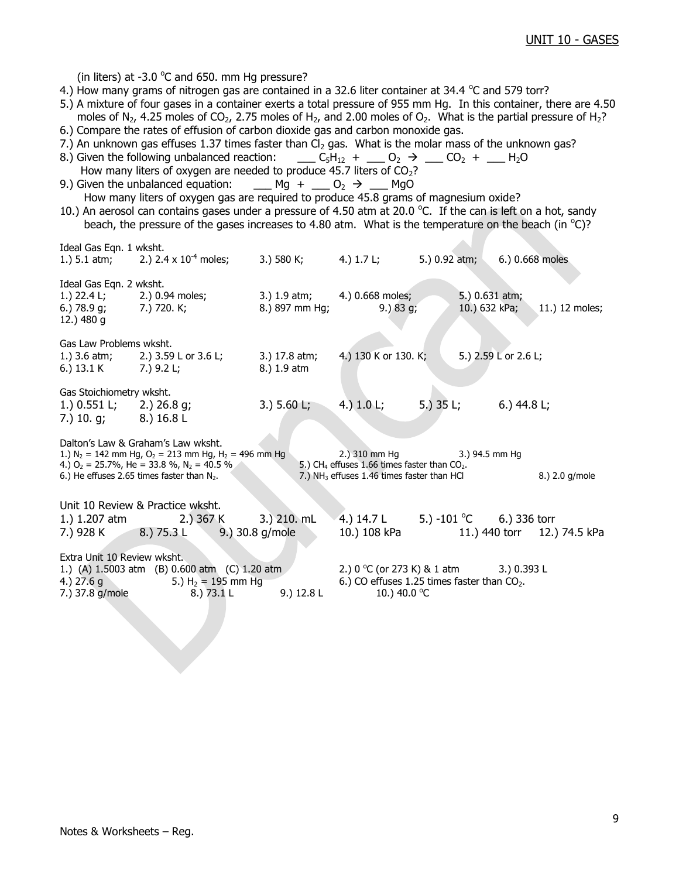(in liters) at -3.0  $^{\circ}$ C and 650. mm Hg pressure?

Ideal Gas Eqn. 1 wksht.

- 4.) How many grams of nitrogen gas are contained in a 32.6 liter container at 34.4  $\degree$ C and 579 torr?
- 5.) A mixture of four gases in a container exerts a total pressure of 955 mm Hg. In this container, there are 4.50 moles of N<sub>2</sub>, 4.25 moles of CO<sub>2</sub>, 2.75 moles of H<sub>2</sub>, and 2.00 moles of O<sub>2</sub>. What is the partial pressure of H<sub>2</sub>?
- 6.) Compare the rates of effusion of carbon dioxide gas and carbon monoxide gas.
- 7.) An unknown gas effuses 1.37 times faster than  $Cl<sub>2</sub>$  gas. What is the molar mass of the unknown gas?
- 8.) Given the following unbalanced reaction: \_\_\_ C<sub>5</sub>H<sub>12</sub> + \_\_ O<sub>2</sub>  $\rightarrow$  \_\_ CO<sub>2</sub> + \_\_ H<sub>2</sub>O
- How many liters of oxygen are needed to produce 45.7 liters of CO<sub>2</sub>?<br>9.) Given the unbalanced equation: Mg + 0<sup>2</sup> → MgO  $\begin{array}{ccc} \n\text{Mg} + \text{O}_2 \rightarrow \text{MgO} \n\end{array}$ How many liters of oxygen gas are required to produce 45.8 grams of magnesium oxide?
- 10.) An aerosol can contains gases under a pressure of 4.50 atm at 20.0 °C. If the can is left on a hot, sandy beach, the pressure of the gases increases to 4.80 atm. What is the temperature on the beach (in  $^{\circ}$ C)?

| waa aas can a mana                                                                          | 1.) 5.1 atm; 2.) 2.4 x $10^{-4}$ moles;                                                                                                                                                                                | 3.) 580 K; 4.) 1.7 L;        |                                                                                                                                            | 5.) 0.92 atm; |                                             | 6.) 0.668 moles |
|---------------------------------------------------------------------------------------------|------------------------------------------------------------------------------------------------------------------------------------------------------------------------------------------------------------------------|------------------------------|--------------------------------------------------------------------------------------------------------------------------------------------|---------------|---------------------------------------------|-----------------|
| Ideal Gas Eqn. 2 wksht.<br>6.) $78.9$ g;<br>12.) 480 g                                      | 1.) 22.4 L; 2.) 0.94 moles;<br>7.) 720. K;                                                                                                                                                                             | 8.) 897 mm Hg;               | 3.) 1.9 atm; 4.) 0.668 moles;<br>9.) 83 g;                                                                                                 |               | 5.) 0.631 atm;<br>10.) 632 kPa;             | 11.) 12 moles;  |
| Gas Law Problems wksht.<br>6.) $13.1 K$ 7.) $9.2 L;$                                        | 1.) 3.6 atm; 2.) 3.59 L or 3.6 L;                                                                                                                                                                                      | 3.) 17.8 atm;<br>8.) 1.9 atm | 4.) 130 K or 130. K;                                                                                                                       |               | 5.) 2.59 L or 2.6 L;                        |                 |
| Gas Stoichiometry wksht.<br>1.) $0.551$ L; 2.) $26.8$ g;<br>7.) 10. g; 8.) $16.8 \text{ L}$ |                                                                                                                                                                                                                        | 3.) 5.60 L; 4.) 1.0 L;       |                                                                                                                                            |               | 5.) $35 \text{ L}$ ; 6.) $44.8 \text{ L}$ ; |                 |
|                                                                                             | Dalton's Law & Graham's Law wksht.<br>1.) $N_2 = 142$ mm Hg, $O_2 = 213$ mm Hg, H <sub>2</sub> = 496 mm Hg<br>4.) $O_2$ = 25.7%, He = 33.8 %, N <sub>2</sub> = 40.5 %<br>6.) He effuses 2.65 times faster than $N_2$ . |                              | 2.) 310 mm Hg 3.) 94.5 mm Hg<br>5.) CH <sub>4</sub> effuses 1.66 times faster than $CO2$ .<br>7.) $NH3$ effuses 1.46 times faster than HCl |               |                                             | 8.) 2.0 g/mole  |
|                                                                                             | Unit 10 Review & Practice wksht.<br>1.) 1.207 atm 2.) 367 K 3.) 210. mL<br>7.) 928 K 8.) 75.3 L 9.) 30.8 g/mole                                                                                                        |                              | 4.) $14.7 \text{ L}$ 5.) $-101 \text{ °C}$ 6.) 336 torr<br>10.) 108 kPa   11.) 440 torr   12.) 74.5 kPa                                    |               |                                             |                 |
| Extra Unit 10 Review wksht.<br>4.) $27.6 g$<br>7.) 37.8 g/mole                              | 1.) (A) 1.5003 atm (B) 0.600 atm (C) 1.20 atm<br>5.) $H_2 = 195$ mm $Hg$<br>8.) 73.1 L                                                                                                                                 | 9.) 12.8 L                   | 2.) $0^{\circ}$ C (or 273 K) & 1 atm 3.) 0.393 L<br>6.) CO effuses 1.25 times faster than $CO2$ .<br>10.) 40.0 °C                          |               |                                             |                 |
|                                                                                             |                                                                                                                                                                                                                        |                              |                                                                                                                                            |               |                                             |                 |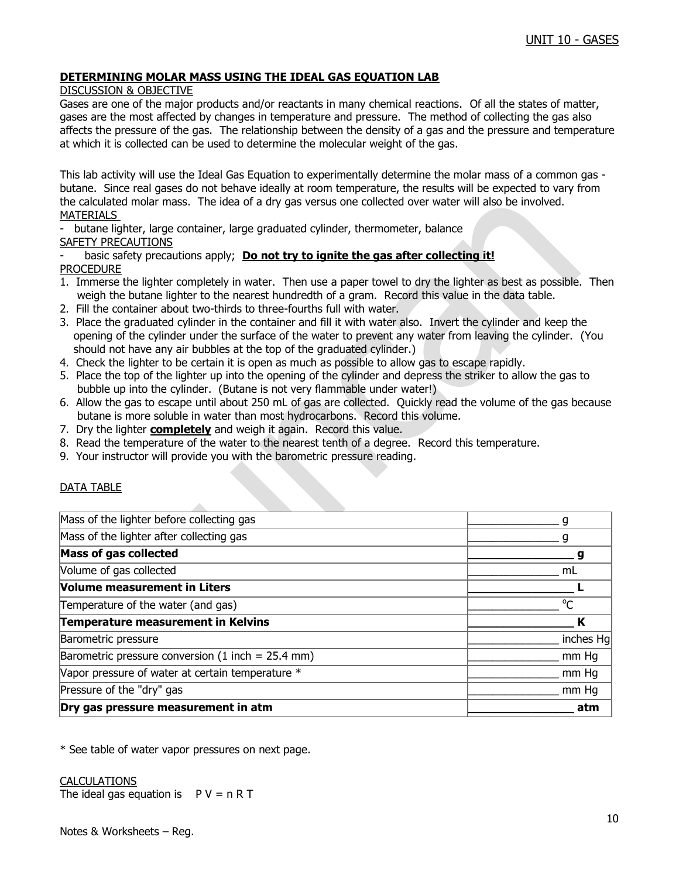### **DETERMINING MOLAR MASS USING THE IDEAL GAS EQUATION LAB**

#### DISCUSSION & OBJECTIVE

Gases are one of the major products and/or reactants in many chemical reactions. Of all the states of matter, gases are the most affected by changes in temperature and pressure. The method of collecting the gas also affects the pressure of the gas. The relationship between the density of a gas and the pressure and temperature at which it is collected can be used to determine the molecular weight of the gas.

This lab activity will use the Ideal Gas Equation to experimentally determine the molar mass of a common gas butane. Since real gases do not behave ideally at room temperature, the results will be expected to vary from the calculated molar mass. The idea of a dry gas versus one collected over water will also be involved. MATERIALS

butane lighter, large container, large graduated cylinder, thermometer, balance SAFETY PRECAUTIONS

#### basic safety precautions apply; **Do not try to ignite the gas after collecting it!** PROCEDURE

- 1. Immerse the lighter completely in water. Then use a paper towel to dry the lighter as best as possible. Then weigh the butane lighter to the nearest hundredth of a gram. Record this value in the data table.
- 2. Fill the container about two-thirds to three-fourths full with water.
- 3. Place the graduated cylinder in the container and fill it with water also. Invert the cylinder and keep the opening of the cylinder under the surface of the water to prevent any water from leaving the cylinder. (You should not have any air bubbles at the top of the graduated cylinder.)
- 4. Check the lighter to be certain it is open as much as possible to allow gas to escape rapidly.
- 5. Place the top of the lighter up into the opening of the cylinder and depress the striker to allow the gas to bubble up into the cylinder. (Butane is not very flammable under water!)
- 6. Allow the gas to escape until about 250 mL of gas are collected. Quickly read the volume of the gas because butane is more soluble in water than most hydrocarbons. Record this volume.
- 7. Dry the lighter **completely** and weigh it again. Record this value.
- 8. Read the temperature of the water to the nearest tenth of a degree. Record this temperature.
- 9. Your instructor will provide you with the barometric pressure reading.

### DATA TABLE

| Dry gas pressure measurement in atm                 | atm       |
|-----------------------------------------------------|-----------|
| Pressure of the "dry" gas                           | mm Hg     |
| Vapor pressure of water at certain temperature *    | mm Hg     |
| Barometric pressure conversion (1 inch = $25.4$ mm) | mm Hq     |
| <b>Barometric pressure</b>                          | inches Hg |
| Temperature measurement in Kelvins                  |           |
| Temperature of the water (and gas)                  | $\sigma$  |
| Volume measurement in Liters                        |           |
| Volume of gas collected                             | mL        |
| <b>Mass of gas collected</b>                        | g         |
| Mass of the lighter after collecting gas            |           |
| Mass of the lighter before collecting gas           |           |

\* See table of water vapor pressures on next page.

#### CALCULATIONS

The ideal gas equation is  $P V = n R T$